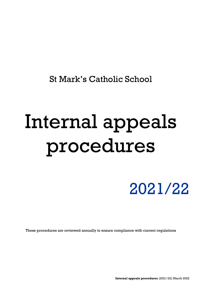St Mark's Catholic School

# Internal appeals procedures

2021/22

These procedures are reviewed annually to ensure compliance with current regulations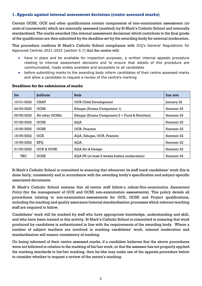#### **1. Appeals against internal assessment decisions (centre assessed marks)**

Certain GCSE, GCE and other qualifications contain components of non-examination assessment (or units of coursework) which are internally assessed (marked) by St Mark's Catholic School and internally standardised. The marks awarded (the internal assessment decisions) which contribute to the final grade of the qualification are then submitted by the deadline set by the awarding body for external moderation.

This procedure confirms St Mark's Catholic School compliance with JCQ's General Regulations for Approved Centres 2021-2022 (section 5.7) that the centre will:

- have in place and be available for inspection purposes, a written internal appeals procedure relating to internal assessment decisions and to ensure that details of this procedure are communicated, made widely available and accessible to all candidates
- before submitting marks to the awarding body inform candidates of their centre assessed marks and allow a candidate to request a review of the centre's marking

| Date       | <b>Qualification</b> | <b>Details</b>                                  | Exam series |
|------------|----------------------|-------------------------------------------------|-------------|
| 10/01/2022 | <b>CNAT</b>          | <b>OCR Child Development</b>                    | January 22  |
| 24/03/2022 | <b>GCSE</b>          | Eduqas (Drama Component 1)                      | Summer 22   |
| 05/05/2022 | All other GCSEs      | Eduqas (Drama Component $2 +$ Food & Nutrition) | Summer 22   |
| 07/05/2022 | <b>GCSE</b>          | AOA                                             | Summer 22   |
| 15/05/2022 | <b>GCSE</b>          | OCR, Pearson                                    | Summer 22   |
| 15/05/2022 | <b>GCE</b>           | AQA, Eduqas, OCR, Pearson                       | Summer 22   |
| 15/05/2022 | <b>EPQ</b>           | AOA                                             | Summer 22   |
| 31/05/2022 | GCE & GCSE           | <b>AQA Art &amp; Design</b>                     | Summer 22   |
| TBC        | <b>GCSE</b>          | AOA PE (at least 2 weeks before moderation)     | Summer 22   |

#### **Deadlines for the submission of marks**

St Mark's Catholic School is committed to ensuring that whenever its staff mark candidates' work this is done fairly, consistently and in accordance with the awarding body's specification and subject-specific associated documents.

St Mark's Catholic School ensures that all centre staff follow a robust *Non-examination Assessment Policy* (for the management of GCE and GCSE non-examination assessments). This policy details all procedures relating to non-examination assessments for GCE, GCSE and Project qualifications, including the marking and quality assurance/internal standardisation processes which relevant teaching staff are required to follow.

Candidates' work will be marked by staff who have appropriate knowledge, understanding and skill, and who have been trained in this activity. St Mark's Catholic School is committed to ensuring that work produced by candidates is authenticated in line with the requirements of the awarding body. Where a number of subject teachers are involved in marking candidates' work, internal moderation and standardisation will ensure consistency of marking.

On being informed of their centre assessed marks, if a candidate believes that the above procedures were not followed in relation to the marking of his/her work, or that the assessor has not properly applied the marking standards to his/her marking, then he/she may make use of the appeals procedure below to consider whether to request a review of the centre's marking.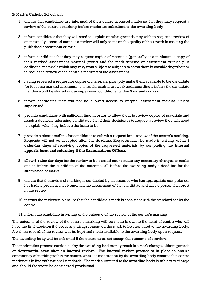St Mark's Catholic School will

- 1. ensure that candidates are informed of their centre assessed marks so that they may request a review of the centre's marking before marks are submitted to the awarding body
- 2. inform candidates that they will need to explain on what grounds they wish to request a review of an internally assessed mark as a review will only focus on the quality of their work in meeting the published assessment criteria
- 3. inform candidates that they may request copies of materials (generally as a minimum, a copy of their marked assessment material (work) and the mark scheme or assessment criteria plus additional materials which may vary from subject to subject) to assist them in considering whether to request a review of the centre's marking of the assessment
- 4. having received a request for copies of materials, promptly make them available to the candidate (or for some marked assessment materials, such as art work and recordings, inform the candidate that these will be shared under supervised conditions) within **5 calendar days**
- 5. inform candidates they will not be allowed access to original assessment material unless supervised
- 6. provide candidates with sufficient time in order to allow them to review copies of materials and reach a decision, informing candidates that if their decision is to request a review they will need to explain what they believe the issue to be
- 7. provide a clear deadline for candidates to submit a request for a review of the centre's marking. Requests will not be accepted after this deadline. Requests must be made in writing within **5 calendar days** of receiving copies of the requested materials by completing the **internal appeals form and returning it the Examinations Officer.**
- 8. allow **5 calendar days** for the review to be carried out, to make any necessary changes to marks and to inform the candidate of the outcome, all before the awarding body's deadline for the submission of marks.
- 9. ensure that the review of marking is conducted by an assessor who has appropriate competence, has had no previous involvement in the assessment of that candidate and has no personal interest in the review
- 10. instruct the reviewer to ensure that the candidate's mark is consistent with the standard set by the centre
- 11. inform the candidate in writing of the outcome of the review of the centre's marking

The outcome of the review of the centre's marking will be made known to the head of centre who will have the final decision if there is any disagreement on the mark to be submitted to the awarding body. A written record of the review will be kept and made available to the awarding body upon request.

The awarding body will be informed if the centre does not accept the outcome of a review.

The moderation process carried out by the awarding bodies may result in a mark change, either upwards or downwards, even after an internal review. The internal review process is in place to ensure consistency of marking within the centre, whereas moderation by the awarding body ensures that centre marking is in line with national standards. The mark submitted to the awarding body is subject to change and should therefore be considered provisional.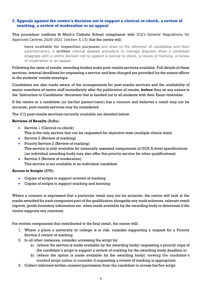# **2. Appeals against the centre's decision not to support a clerical re-check, a review of marking, a review of moderation or an appeal**

This procedure confirms St Mark's Catholic School compliance with JCQ's General Regulations for Approved Centres 2020-2021 (section 5.13) that the centre will:

**have available for inspection purposes** and draw to the attention of candidates and their parents/carers, a **written** internal appeals procedure to manage disputes when a candidate disagrees with a centre decision not to support a clerical re-check, a review of marking, a review of moderation or an appeal

Following the issue of results, awarding bodies make post-results services available. Full details of these services, internal deadlines for requesting a service and fees charged are provided by the exams officer in the students' results envelope.

Candidates are also made aware of the arrangements for post-results services and the availability of senior members of centre staff immediately after the publication of results, **before** they sit any exams in the 'Instruction to Candidates' document that is handed out to all students with their Exam timetable.

If the centre or a candidate (or his/her parent/carer) has a concern and believes a result may not be accurate, post-results services may be considered.

The JCQ post-results services currently available are detailed below.

#### **Reviews of Results** (RoRs):

- Service 1 (Clerical re-check) This is the only service that can be requested for objective tests (multiple choice tests)
- Service 2 (Review of marking)
- Priority Service 2 (Review of marking) This service is only available for externally assessed components of GCE A-level specifications (an individual awarding body may also offer this priority service for other qualifications)
- Service 3 (Review of moderation) This service is not available to an individual candidate

# **Access to Scripts** (ATS):

- Copies of scripts to support reviews of marking
- Copies of scripts to support teaching and learning

Where a concern is expressed that a particular result may not be accurate, the centre will look at the marks awarded for each component part of the qualification alongside any mark schemes, relevant result reports, grade boundary information etc. when made available by the awarding body to determine if the centre supports any concerns.

For written components that contributed to the final result, the centre will:

- 1. Where a place a university or college is at risk, consider supporting a request for a Priority Service 2 review of marking
- 2. In all other instances, consider accessing the script by:
	- a) (where the service is made available by the awarding body) requesting a priority copy of the candidate's script to support a review of marking by the awarding body deadline or
	- b) (where the option is made available by the awarding body) viewing the candidate's marked script online to consider if requesting a review of marking is appropriate
- 3. Collect informed written consent/permission from the candidate to access his/her script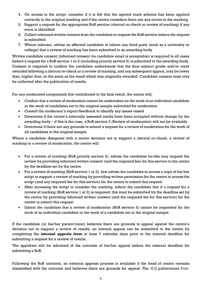- 4. On access to the script, consider if it is felt that the agreed mark scheme has been applied correctly in the original marking and if the centre considers there are any errors in the marking
- 5. Support a request for the appropriate RoR service (clerical re-check or review of marking) if any error is identified
- 6. Collect informed written consent from the candidate to request the RoR service before the request is submitted
- 7. Where relevant, advise an affected candidate to inform any third party (such as a university or college) that a review of marking has been submitted to an awarding body

Written candidate consent (informed consent via candidate email is acceptable) is required in all cases before a request for a RoR service 1 or 2 (including priority service 2) is submitted to the awarding body. Consent is required to confirm the candidate understands that the final subject grade and/or mark awarded following a clerical re-check or a review of marking, and any subsequent appeal, may be lower than, higher than, or the same as the result which was originally awarded. Candidate consent must only be collected after the publication of results.

For any moderated components that contributed to the final result, the centre will:

- Confirm that a review of moderation cannot be undertaken on the work of an individual candidate or the work of candidates not in the original sample submitted for moderation
- Consult the moderator's report/feedback to identify any issues raised
- Determine if the centre's internally assessed marks have been accepted without change by the awarding body – if this is the case, a RoR service 3 (Review of moderation) will not be available
- Determine if there are any grounds to submit a request for a review of moderation for the work of all candidates in the original sample

Where a candidate disagrees with a centre decision not to support a clerical re-check, a review of marking or a review of moderation, the centre will:

- For a review of marking (RoR priority service 2), advise the candidate he/she may request the review by providing informed written consent (and the required fee) for this service to the centre by the deadline set by the centre
- For a review of marking (RoR service 1 or 2), first advise the candidate to access a copy of his/her script to support a review of marking by providing written permission for the centre to access the script (and any required fee for this service) for the centre to submit this request
- After accessing the script to consider the marking, inform the candidate that if a request for a review of marking (RoR service 1 or 2) is required, this must be submitted by the deadline set by the centre by providing informed written consent (and the required fee for this service) for the centre to submit this request
- Inform the candidate that a review of moderation (RoR service 3) cannot be requested for the work of an individual candidate or the work of a candidate not in the original sample

If the candidate (or his/her parent/carer) believes there are grounds to appeal against the centre's decision not to support a review of results, an internal appeal can be submitted to the centre by completing the **internal appeals form** at least 7 calendar days prior to the internal deadline for submitting a request for a review of results.

The appellant will be informed of the outcome of his/her appeal before the internal deadline for submitting a RoR.

Following the RoR outcome, an external appeals process is available if the head of centre remains dissatisfied with the outcome and believes there are grounds for appeal. The JCQ publications Post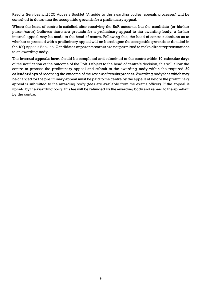Results Services and JCQ Appeals Booklet (A guide to the awarding bodies' appeals processes) will be consulted to determine the acceptable grounds for a preliminary appeal.

Where the head of centre is satisfied after receiving the RoR outcome, but the candidate (or his/her parent/carer) believes there are grounds for a preliminary appeal to the awarding body, a further internal appeal may be made to the head of centre. Following this, the head of centre's decision as to whether to proceed with a preliminary appeal will be based upon the acceptable grounds as detailed in the JCQ Appeals Booklet. Candidates or parents/carers are not permitted to make direct representations to an awarding body.

The **internal appeals form** should be completed and submitted to the centre within **10 calendar days** of the notification of the outcome of the RoR. Subject to the head of centre's decision, this will allow the centre to process the preliminary appeal and submit to the awarding body within the required **30 calendar days** of receiving the outcome of the review of results process. Awarding body fees which may be charged for the preliminary appeal must be paid to the centre by the appellant before the preliminary appeal is submitted to the awarding body (fees are available from the exams officer). If the appeal is upheld by the awarding body, this fee will be refunded by the awarding body and repaid to the appellant by the centre.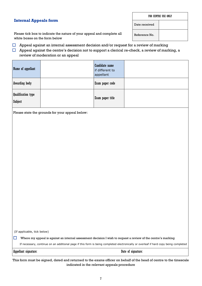#### **Internal Appeals form**

Please tick box to indicate the nature of your appeal and complete all white boxes on the form below

- $\Box$  Appeal against an internal assessment decision and/or request for a review of marking
- $\Box$  Appeal against the centre's decision not to support a clerical re-check, a review of marking, a review of moderation or an appeal

| Name of appellant                    | Candidate name<br>if different to<br>appellant |  |
|--------------------------------------|------------------------------------------------|--|
| <b>Awarding body</b>                 | Exam paper code                                |  |
| <b>Qualification type</b><br>Subject | Exam paper title                               |  |

Please state the grounds for your appeal below:

(If applicable, tick below)

 $\Box$  Where my appeal is against an internal assessment decision I wish to request a review of the centre's marking

If necessary, continue on an additional page if this form is being completed electronically or overleaf if hard copy being completed

Appellant signature: Date of signature:

This form must be signed, dated and returned to the exams officer on behalf of the head of centre to the timescale indicated in the relevant appeals procedure

FOR CENTRE USE ONLY

Date received

Reference No.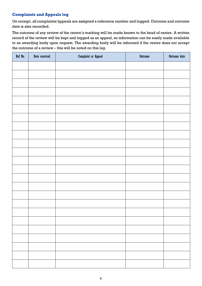# **Complaints and Appeals log**

On receipt, all complaints/appeals are assigned a reference number and logged. Outcome and outcome date is also recorded.

The outcome of any review of the centre's marking will be made known to the head of centre. A written record of the review will be kept and logged as an appeal, so information can be easily made available to an awarding body upon request. The awarding body will be informed if the centre does not accept the outcome of a review – this will be noted on this log.

| Ref No. | Date received | <b>Complaint or Appeal</b> | Outcome | Outcome date |
|---------|---------------|----------------------------|---------|--------------|
|         |               |                            |         |              |
|         |               |                            |         |              |
|         |               |                            |         |              |
|         |               |                            |         |              |
|         |               |                            |         |              |
|         |               |                            |         |              |
|         |               |                            |         |              |
|         |               |                            |         |              |
|         |               |                            |         |              |
|         |               |                            |         |              |
|         |               |                            |         |              |
|         |               |                            |         |              |
|         |               |                            |         |              |
|         |               |                            |         |              |
|         |               |                            |         |              |
|         |               |                            |         |              |
|         |               |                            |         |              |
|         |               |                            |         |              |
|         |               |                            |         |              |
|         |               |                            |         |              |
|         |               |                            |         |              |
|         |               |                            |         |              |
|         |               |                            |         |              |
|         |               |                            |         |              |